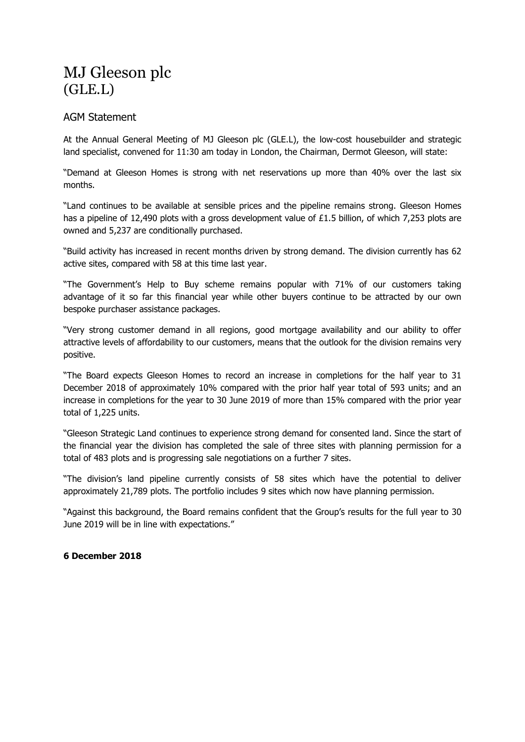## MJ Gleeson plc (GLE.L)

## AGM Statement

At the Annual General Meeting of MJ Gleeson plc (GLE.L), the low-cost housebuilder and strategic land specialist, convened for 11:30 am today in London, the Chairman, Dermot Gleeson, will state:

"Demand at Gleeson Homes is strong with net reservations up more than 40% over the last six months.

"Land continues to be available at sensible prices and the pipeline remains strong. Gleeson Homes has a pipeline of 12,490 plots with a gross development value of £1.5 billion, of which 7,253 plots are owned and 5,237 are conditionally purchased.

"Build activity has increased in recent months driven by strong demand. The division currently has 62 active sites, compared with 58 at this time last year.

"The Government's Help to Buy scheme remains popular with 71% of our customers taking advantage of it so far this financial year while other buyers continue to be attracted by our own bespoke purchaser assistance packages.

"Very strong customer demand in all regions, good mortgage availability and our ability to offer attractive levels of affordability to our customers, means that the outlook for the division remains very positive.

"The Board expects Gleeson Homes to record an increase in completions for the half year to 31 December 2018 of approximately 10% compared with the prior half year total of 593 units; and an increase in completions for the year to 30 June 2019 of more than 15% compared with the prior year total of 1,225 units.

"Gleeson Strategic Land continues to experience strong demand for consented land. Since the start of the financial year the division has completed the sale of three sites with planning permission for a total of 483 plots and is progressing sale negotiations on a further 7 sites.

"The division's land pipeline currently consists of 58 sites which have the potential to deliver approximately 21,789 plots. The portfolio includes 9 sites which now have planning permission.

"Against this background, the Board remains confident that the Group's results for the full year to 30 June 2019 will be in line with expectations."

## **6 December 2018**